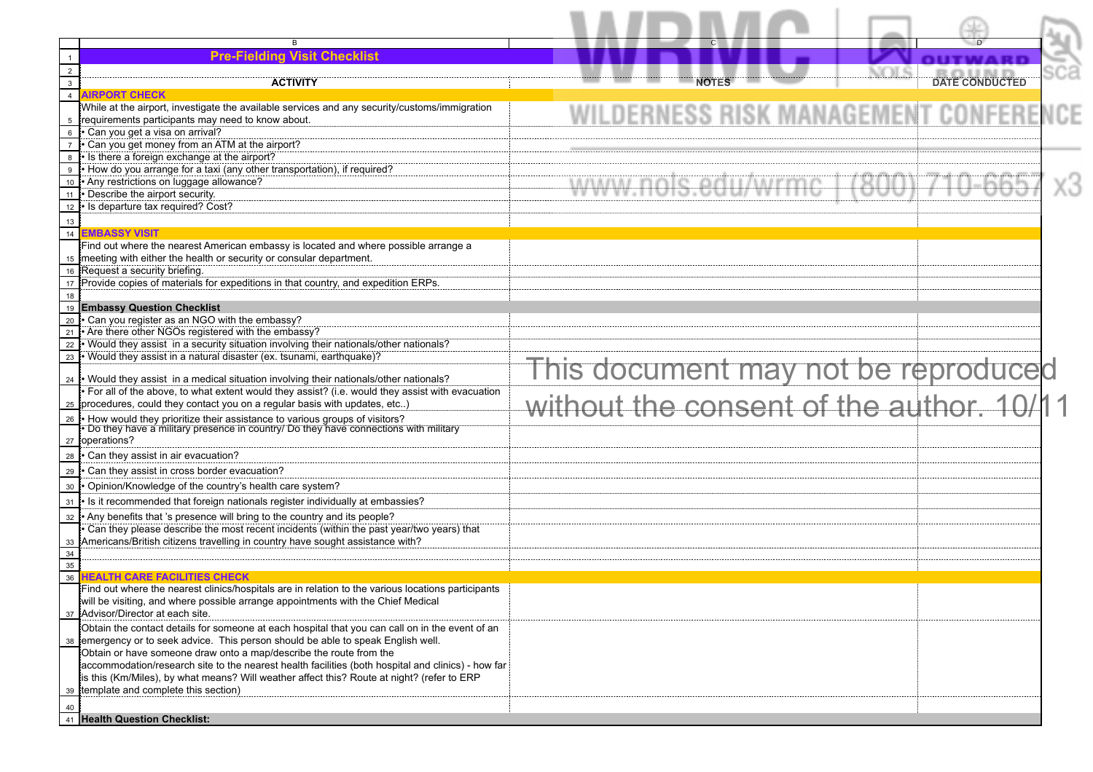|                 | <b>Pre-Fielding Visit Checklist</b>                                                                                                                                                                                                                                                                           |                                          |                       |  |
|-----------------|---------------------------------------------------------------------------------------------------------------------------------------------------------------------------------------------------------------------------------------------------------------------------------------------------------------|------------------------------------------|-----------------------|--|
| 3               |                                                                                                                                                                                                                                                                                                               |                                          | <b>DATE CONDUCTED</b> |  |
| $\overline{4}$  | ACTIVITY<br><b>AIRPORT CHECK</b>                                                                                                                                                                                                                                                                              |                                          |                       |  |
| 5<br>6          | While at the airport, investigate the available services and any security/customs/immigration<br>requirements participants may need to know about.<br>· Can you get a visa on arrival?<br>Can you get money from an ATM at the airport?                                                                       | .DERNESS RISK MANAGEMEN                  |                       |  |
| 9<br>10         | • Is there a foreign exchange at the airport?<br>. How do you arrange for a taxi (any other transportation), if required?<br>• Any restrictions on luggage allowance?                                                                                                                                         |                                          |                       |  |
| 11<br>12        | • Describe the airport security.<br>· Is departure tax required? Cost?                                                                                                                                                                                                                                        |                                          |                       |  |
| 13              |                                                                                                                                                                                                                                                                                                               |                                          |                       |  |
| $\overline{14}$ | <b>EMBASSY VISIT</b>                                                                                                                                                                                                                                                                                          |                                          |                       |  |
|                 | Find out where the nearest American embassy is located and where possible arrange a<br>15 meeting with either the health or security or consular department.<br>16 Request a security briefing.                                                                                                               |                                          |                       |  |
|                 | 17 Provide copies of materials for expeditions in that country, and expedition ERPs.                                                                                                                                                                                                                          |                                          |                       |  |
| 18              |                                                                                                                                                                                                                                                                                                               |                                          |                       |  |
| 19              | <b>Embassy Question Checklist</b>                                                                                                                                                                                                                                                                             |                                          |                       |  |
| 20<br>21        | . Can you register as an NGO with the embassy?<br>• Are there other NGOs registered with the embassy?                                                                                                                                                                                                         |                                          |                       |  |
| 22              | . Would they assist in a security situation involving their nationals/other nationals?                                                                                                                                                                                                                        |                                          |                       |  |
| 23              | $\cdot$ Would they assist in a natural disaster (ex. tsunami, earthquake)?                                                                                                                                                                                                                                    |                                          |                       |  |
|                 | 24 • Would they assist in a medical situation involving their nationals/other nationals?                                                                                                                                                                                                                      | This document may not be reproduced      |                       |  |
|                 | • For all of the above, to what extent would they assist? (i.e. would they assist with evacuation                                                                                                                                                                                                             |                                          |                       |  |
| 25              | procedures, could they contact you on a regular basis with updates, etc)                                                                                                                                                                                                                                      | without the consent of the author. 10/11 |                       |  |
| 26              | . How would they prioritize their assistance to various groups of visitors?<br>• Do they have a military presence in country/ Do they have connections with military<br>27 operations?                                                                                                                        |                                          |                       |  |
| 28              | • Can they assist in air evacuation?                                                                                                                                                                                                                                                                          |                                          |                       |  |
| 29              | • Can they assist in cross border evacuation?                                                                                                                                                                                                                                                                 |                                          |                       |  |
| 30              | . Opinion/Knowledge of the country's health care system?                                                                                                                                                                                                                                                      |                                          |                       |  |
| 31              | • Is it recommended that foreign nationals register individually at embassies?                                                                                                                                                                                                                                |                                          |                       |  |
| 32              | • Any benefits that 's presence will bring to the country and its people?<br>. Can they please describe the most recent incidents (within the past year/two years) that                                                                                                                                       |                                          |                       |  |
| 33<br>34        | Americans/British citizens travelling in country have sought assistance with?                                                                                                                                                                                                                                 |                                          |                       |  |
| 35              |                                                                                                                                                                                                                                                                                                               |                                          |                       |  |
| 36              | HEALTH CARE FACILITIES CHECK                                                                                                                                                                                                                                                                                  |                                          |                       |  |
| 37              | Find out where the nearest clinics/hospitals are in relation to the various locations participants<br>will be visiting, and where possible arrange appointments with the Chief Medical<br>Advisor/Director at each site.                                                                                      |                                          |                       |  |
|                 | Obtain the contact details for someone at each hospital that you can call on in the event of an                                                                                                                                                                                                               |                                          |                       |  |
| 38              | emergency or to seek advice. This person should be able to speak English well.                                                                                                                                                                                                                                |                                          |                       |  |
| 39              | Obtain or have someone draw onto a map/describe the route from the<br>accommodation/research site to the nearest health facilities (both hospital and clinics) - how far<br>is this (Km/Miles), by what means? Will weather affect this? Route at night? (refer to ERP<br>template and complete this section) |                                          |                       |  |
| 40              |                                                                                                                                                                                                                                                                                                               |                                          |                       |  |
|                 | 41 Health Question Checklist:                                                                                                                                                                                                                                                                                 |                                          |                       |  |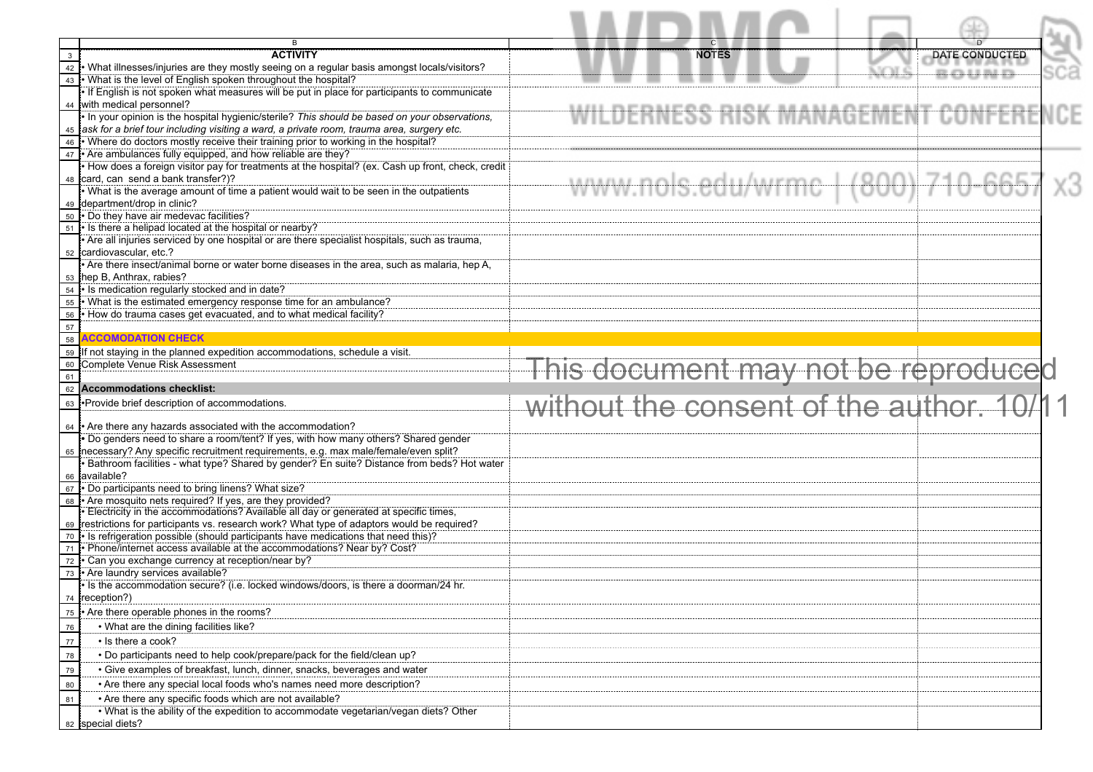| B                                                                                                                         |                                          |                            |  |
|---------------------------------------------------------------------------------------------------------------------------|------------------------------------------|----------------------------|--|
| <b>ACTIVITY</b><br>$\mathbf{3}$                                                                                           | <b>NOTES</b>                             | <b>DATE CONDUCTED</b>      |  |
| 42 What illnesses/injuries are they mostly seeing on a regular basis amongst locals/visitors?                             |                                          | -------------------------- |  |
| What is the level of English spoken throughout the hospital?<br>43                                                        |                                          |                            |  |
| If English is not spoken what measures will be put in place for participants to communicate<br>44 with medical personnel? |                                          |                            |  |
| . In your opinion is the hospital hygienic/sterile? This should be based on your observations,                            | WILDERNESS RISK MANAGEMENT CONFER        |                            |  |
| 45 ask for a brief tour including visiting a ward, a private room, trauma area, surgery etc.                              |                                          |                            |  |
| 46 • Where do doctors mostly receive their training prior to working in the hospital?                                     |                                          |                            |  |
| 47 • Are ambulances fully equipped, and how reliable are they?                                                            |                                          |                            |  |
| . How does a foreign visitor pay for treatments at the hospital? (ex. Cash up front, check, credit                        |                                          |                            |  |
| 48 card, can send a bank transfer?)?                                                                                      | www.nols.edu/wrmc                        |                            |  |
| . What is the average amount of time a patient would wait to be seen in the outpatients                                   |                                          |                            |  |
| 49 department/drop in clinic?                                                                                             |                                          |                            |  |
| 50 • Do they have air medevac facilities?<br>51 • Is there a helipad located at the hospital or nearby?                   |                                          |                            |  |
| . Are all injuries serviced by one hospital or are there specialist hospitals, such as trauma,                            |                                          |                            |  |
| 52 cardiovascular, etc.?                                                                                                  |                                          |                            |  |
| • Are there insect/animal borne or water borne diseases in the area, such as malaria, hep A,                              |                                          |                            |  |
| 53 hep B, Anthrax, rabies?                                                                                                |                                          |                            |  |
| 54 • Is medication regularly stocked and in date?                                                                         |                                          |                            |  |
| 55 • What is the estimated emergency response time for an ambulance?                                                      |                                          |                            |  |
| . How do trauma cases get evacuated, and to what medical facility?<br>56                                                  |                                          |                            |  |
| 57<br>58<br><b>ACCOMODATION CHECK</b>                                                                                     |                                          |                            |  |
|                                                                                                                           |                                          |                            |  |
| 59 If not staying in the planned expedition accommodations, schedule a visit.<br>60 Complete Venue Risk Assessment        |                                          |                            |  |
| 61                                                                                                                        | This document may not be reproduced      |                            |  |
| <b>Accommodations checklist:</b><br>62                                                                                    |                                          |                            |  |
| 63 • Provide brief description of accommodations.                                                                         | without the consent of the author. 10/11 |                            |  |
|                                                                                                                           |                                          |                            |  |
| 64 • Are there any hazards associated with the accommodation?                                                             |                                          |                            |  |
| . Do genders need to share a room/tent? If yes, with how many others? Shared gender                                       |                                          |                            |  |
| 65 necessary? Any specific recruitment requirements, e.g. max male/female/even split?                                     |                                          |                            |  |
| · Bathroom facilities - what type? Shared by gender? En suite? Distance from beds? Hot water<br>66 available?             |                                          |                            |  |
| 67 • Do participants need to bring linens? What size?                                                                     |                                          |                            |  |
| 68 • Are mosquito nets required? If yes, are they provided?                                                               |                                          |                            |  |
| . Electricity in the accommodations? Available all day or generated at specific times,                                    |                                          |                            |  |
| 69 restrictions for participants vs. research work? What type of adaptors would be required?                              |                                          |                            |  |
| 70 • Is refrigeration possible (should participants have medications that need this)?                                     |                                          |                            |  |
| . Phone/internet access available at the accommodations? Near by? Cost?<br>71                                             |                                          |                            |  |
| • Can you exchange currency at reception/near by?<br>72<br>73 • Are laundry services available?                           |                                          |                            |  |
| I is the accommodation secure? (i.e. locked windows/doors, is there a doorman/24 hr.                                      |                                          |                            |  |
| 74 reception?)                                                                                                            |                                          |                            |  |
| • Are there operable phones in the rooms?<br>75                                                                           |                                          |                            |  |
| • What are the dining facilities like?<br>76                                                                              |                                          |                            |  |
| • Is there a cook?<br>77                                                                                                  |                                          |                            |  |
| . Do participants need to help cook/prepare/pack for the field/clean up?                                                  |                                          |                            |  |
| 78                                                                                                                        |                                          |                            |  |
| • Give examples of breakfast, lunch, dinner, snacks, beverages and water<br>79                                            |                                          |                            |  |
| 80<br>• Are there any special local foods who's names need more description?                                              |                                          |                            |  |
| • Are there any specific foods which are not available?<br>81                                                             |                                          |                            |  |
| . What is the ability of the expedition to accommodate vegetarian/vegan diets? Other<br>82 special diets?                 |                                          |                            |  |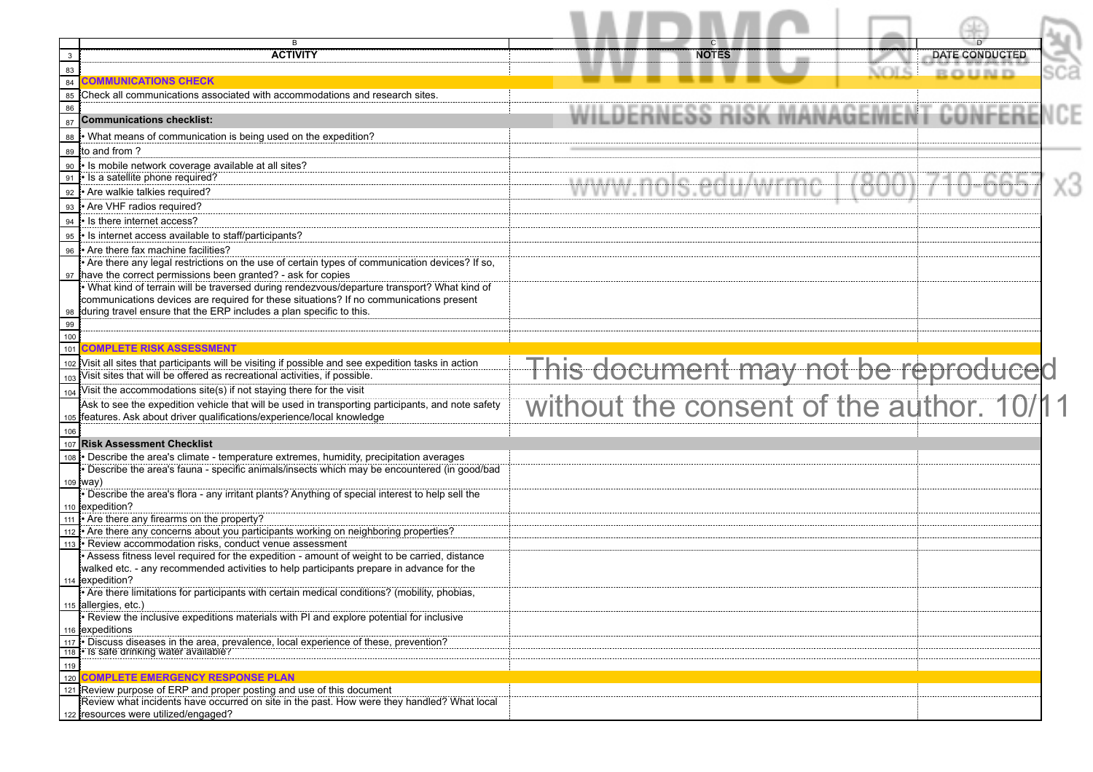|                | В                                                                                                                                                                                      |                                          |                       |  |
|----------------|----------------------------------------------------------------------------------------------------------------------------------------------------------------------------------------|------------------------------------------|-----------------------|--|
| $\overline{3}$ | <b>ACTIVITY</b>                                                                                                                                                                        | <b>NOTES</b>                             | <b>DATE CONDUCTED</b> |  |
| 83<br>84       | <b>COMMUNICATIONS CHECK</b>                                                                                                                                                            | uni ci                                   | <b>ROUDE</b>          |  |
| 85             | Check all communications associated with accommodations and research sites.                                                                                                            |                                          |                       |  |
| 86             |                                                                                                                                                                                        | RNESS RISK MANAGEMENT CONFE              |                       |  |
| 87             | <b>Communications checklist:</b>                                                                                                                                                       |                                          |                       |  |
| 88             | . What means of communication is being used on the expedition?                                                                                                                         |                                          |                       |  |
| 89             | to and from ?                                                                                                                                                                          |                                          |                       |  |
| 90             | . Is mobile network coverage available at all sites?                                                                                                                                   |                                          |                       |  |
| 91             | · Is a satellite phone required?                                                                                                                                                       |                                          |                       |  |
| 92             | • Are walkie talkies required?                                                                                                                                                         |                                          |                       |  |
| 93             | . Are VHF radios required?                                                                                                                                                             |                                          |                       |  |
| 94             | • Is there internet access?                                                                                                                                                            |                                          |                       |  |
| 95             | • Is internet access available to staff/participants?                                                                                                                                  |                                          |                       |  |
| 96             | Are there fax machine facilities?<br>. Are there any legal restrictions on the use of certain types of communication devices? If so,                                                   |                                          |                       |  |
|                | 97 have the correct permissions been granted? - ask for copies                                                                                                                         |                                          |                       |  |
|                | . What kind of terrain will be traversed during rendezvous/departure transport? What kind of                                                                                           |                                          |                       |  |
|                | communications devices are required for these situations? If no communications present                                                                                                 |                                          |                       |  |
| 98             | during travel ensure that the ERP includes a plan specific to this.                                                                                                                    |                                          |                       |  |
| 99             |                                                                                                                                                                                        |                                          |                       |  |
| 101            | <b>COMPLETE RISK ASSESSMENT</b>                                                                                                                                                        |                                          |                       |  |
|                | 102 Visit all sites that participants will be visiting if possible and see expedition tasks in action                                                                                  |                                          |                       |  |
| 103            | Visit sites that will be offered as recreational activities, if possible.                                                                                                              | This document may not be reproduced      |                       |  |
| 104            | Visit the accommodations site(s) if not staying there for the visit                                                                                                                    |                                          |                       |  |
|                | Ask to see the expedition vehicle that will be used in transporting participants, and note safety                                                                                      | without the consent of the author. 10/11 |                       |  |
| 105            | features. Ask about driver qualifications/experience/local knowledge                                                                                                                   |                                          |                       |  |
| 106            |                                                                                                                                                                                        |                                          |                       |  |
| 107            | <b>Risk Assessment Checklist</b>                                                                                                                                                       |                                          |                       |  |
|                | - Describe the area's climate - temperature extremes, humidity, precipitation averages<br>• Describe the area's fauna - specific animals/insects which may be encountered (in good/bad |                                          |                       |  |
|                | $109$ (way)                                                                                                                                                                            |                                          |                       |  |
|                | • Describe the area's flora - any irritant plants? Anything of special interest to help sell the                                                                                       |                                          |                       |  |
|                | 110 expedition?                                                                                                                                                                        |                                          |                       |  |
|                | $\frac{111}{1}$ Are there any firearms on the property?                                                                                                                                |                                          |                       |  |
|                | 112 • Are there any concerns about you participants working on neighboring properties?<br>113 • Review accommodation risks, conduct venue assessment                                   |                                          |                       |  |
|                | • Assess fitness level required for the expedition - amount of weight to be carried, distance                                                                                          |                                          |                       |  |
|                | walked etc. - any recommended activities to help participants prepare in advance for the                                                                                               |                                          |                       |  |
|                | 114 expedition?                                                                                                                                                                        |                                          |                       |  |
|                | Are there limitations for participants with certain medical conditions? (mobility, phobias,                                                                                            |                                          |                       |  |
|                | 115 allergies, etc.)<br>• Review the inclusive expeditions materials with PI and explore potential for inclusive                                                                       |                                          |                       |  |
|                | 116 expeditions                                                                                                                                                                        |                                          |                       |  |
| 117            | . Discuss diseases in the area, prevalence, local experience of these, prevention?                                                                                                     |                                          |                       |  |
| 118            | • Is safe drinking water available?                                                                                                                                                    |                                          |                       |  |
| 119            |                                                                                                                                                                                        |                                          |                       |  |
| 120<br>121     | <b>COMPLETE EMERGENCY RESPONSE PLAN</b><br>Review purpose of ERP and proper posting and use of this document                                                                           |                                          |                       |  |
|                | Review what incidents have occurred on site in the past. How were they handled? What local                                                                                             |                                          |                       |  |
|                | 122 resources were utilized/engaged?                                                                                                                                                   |                                          |                       |  |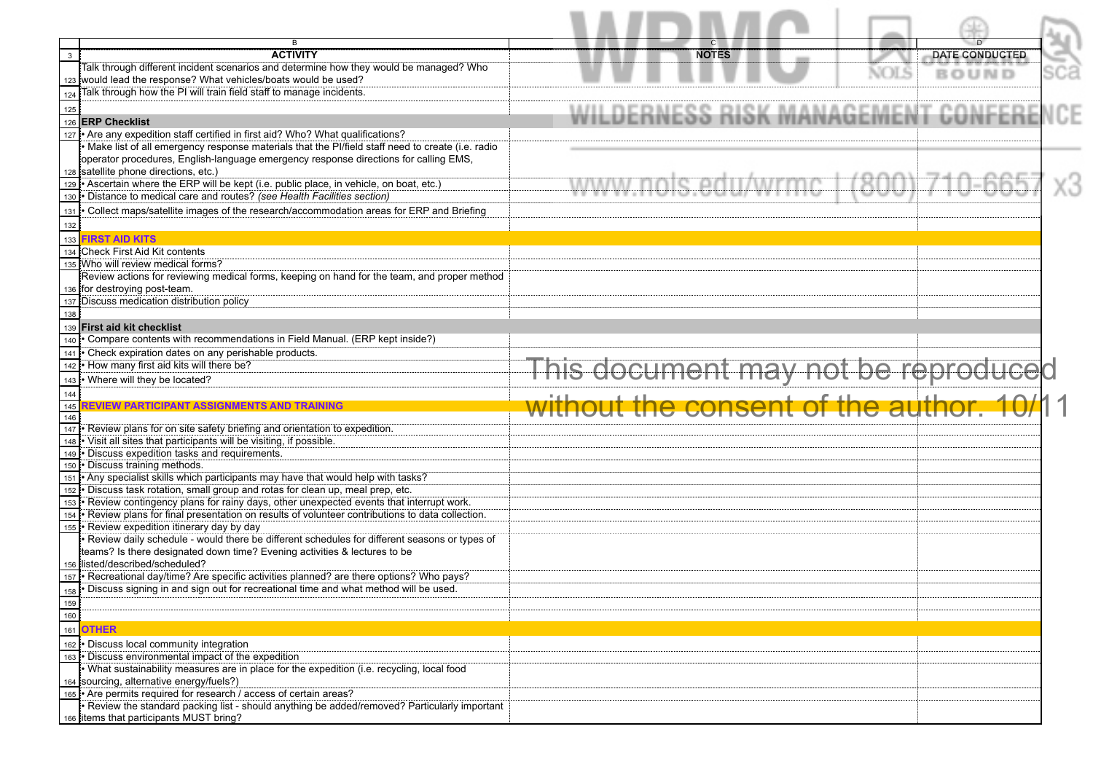|              | в                                                                                                                                                         | $\mathbf{C}$                          |     |
|--------------|-----------------------------------------------------------------------------------------------------------------------------------------------------------|---------------------------------------|-----|
| $\mathbf{3}$ | <b>ACTIVITY</b>                                                                                                                                           | <b>NOTES</b><br><b>DATE CONDUCTED</b> |     |
|              | Talk through different incident scenarios and determine how they would be managed? Who<br>123 would lead the response? What vehicles/boats would be used? | <b>BOUND</b>                          | sca |
| 124          | Talk through how the PI will train field staff to manage incidents.                                                                                       |                                       |     |
|              |                                                                                                                                                           |                                       |     |
| 125<br>126   | <b>ERP Checklist</b>                                                                                                                                      | DERNESS RISK MANAGEMENT               |     |
| 127          | Are any expedition staff certified in first aid? Who? What qualifications?                                                                                |                                       |     |
|              | . Make list of all emergency response materials that the Pl/field staff need to create (i.e. radio                                                        |                                       |     |
|              | operator procedures, English-language emergency response directions for calling EMS,                                                                      |                                       |     |
|              | 128 satellite phone directions, etc.)                                                                                                                     |                                       |     |
|              | 129 • Ascertain where the ERP will be kept (i.e. public place, in vehicle, on boat, etc.)                                                                 |                                       |     |
| 130          | · Distance to medical care and routes? (see Health Facilities section)                                                                                    |                                       |     |
| 131          | · Collect maps/satellite images of the research/accommodation areas for ERP and Briefing                                                                  |                                       |     |
| 132          |                                                                                                                                                           |                                       |     |
| 133          | <b>FIRST AID KITS</b><br>134 Check First Aid Kit contents                                                                                                 |                                       |     |
|              | 135 Who will review medical forms?                                                                                                                        |                                       |     |
|              | Review actions for reviewing medical forms, keeping on hand for the team, and proper method                                                               |                                       |     |
|              | 136 for destroying post-team.                                                                                                                             |                                       |     |
|              | 137 Discuss medication distribution policy                                                                                                                |                                       |     |
| 138          |                                                                                                                                                           |                                       |     |
|              | 139 First aid kit checklist                                                                                                                               |                                       |     |
| 140          | • Compare contents with recommendations in Field Manual. (ERP kept inside?)                                                                               |                                       |     |
| 141<br>142   | • Check expiration dates on any perishable products.<br>. How many first aid kits will there be?                                                          |                                       |     |
|              |                                                                                                                                                           |                                       |     |
|              |                                                                                                                                                           |                                       |     |
| 143          | . Where will they be located?                                                                                                                             | This document may not be reproduced   |     |
| 144          | REVIEW PARTICIPANT ASSIGNMENTS AND TRAINING                                                                                                               |                                       |     |
| 145<br>146   |                                                                                                                                                           | out the consent of the auth           |     |
| 147          | . Review plans for on site safety briefing and orientation to expedition.                                                                                 |                                       |     |
| 148          | • Visit all sites that participants will be visiting, if possible.                                                                                        |                                       |     |
| 149          | · Discuss expedition tasks and requirements.                                                                                                              |                                       |     |
| 150<br>151   | • Discuss training methods.<br>. Any specialist skills which participants may have that would help with tasks?                                            |                                       |     |
| 152          | · Discuss task rotation, small group and rotas for clean up, meal prep, etc.                                                                              |                                       |     |
| 153          | . Review contingency plans for rainy days, other unexpected events that interrupt work.                                                                   |                                       |     |
| 154          | . Review plans for final presentation on results of volunteer contributions to data collection.                                                           |                                       |     |
| 155          | Review expedition itinerary day by day                                                                                                                    |                                       |     |
|              | · Review daily schedule - would there be different schedules for different seasons or types of                                                            |                                       |     |
|              | teams? Is there designated down time? Evening activities & lectures to be<br>156 listed/described/scheduled?                                              |                                       |     |
| 157          | • Recreational day/time? Are specific activities planned? are there options? Who pays?                                                                    |                                       |     |
| 158          | . Discuss signing in and sign out for recreational time and what method will be used.                                                                     |                                       |     |
| 159          |                                                                                                                                                           |                                       |     |
| 160          |                                                                                                                                                           |                                       |     |
| 161          | <b>OTHER</b>                                                                                                                                              |                                       |     |
| 162          | · Discuss local community integration                                                                                                                     |                                       |     |
| 163          | . Discuss environmental impact of the expedition                                                                                                          |                                       |     |
|              | . What sustainability measures are in place for the expedition (i.e. recycling, local food                                                                |                                       |     |
| 165          | 164 sourcing, alternative energy/fuels?)<br>• Are permits required for research / access of certain areas?                                                |                                       |     |
|              | • Review the standard packing list - should anything be added/removed? Particularly important<br>166 litems that participants MUST bring?                 |                                       |     |